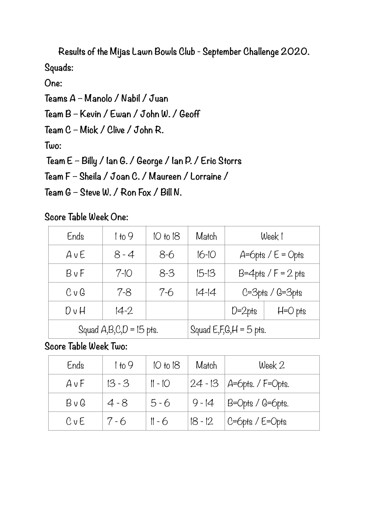**Results of the Mijas Lawn Bowls Club - September Challenge 2020. Squads:** 

**One:** 

**Teams A – Manolo / Nabil / Juan** 

**Team B – Kevin / Ewan / John W. / Geoff** 

**Team C – Mick / Clive / John R.** 

**Two:** 

 **Team E – Billy / Ian G. / George / Ian P. / Eric Storrs** 

**Team F – Sheila / Joan C. / Maureen / Lorraine /** 

**Team G – Steve W. / Ron Fox / Bill N.** 

**Score Table Week One:** 

| Ends                      | 1 to 9   | 10 to 18 | Match                       | Week !                    |             |
|---------------------------|----------|----------|-----------------------------|---------------------------|-------------|
| AVE                       | $8 - 4$  | 8-6      | $16 - 10$                   | $A = 6$ pts / $E = 0$ pts |             |
| BvF                       | $7 - 10$ | $8 - 3$  | $15 - 13$                   | $B=4$ pts / $F = 2$ pts   |             |
| CvG                       | 7-8      | $7 - 6$  | $14 - 14$                   | $C = 3$ pts / $G = 3$ pts |             |
| DvH                       | $14 - 2$ |          |                             | $D=2$ pts                 | $H = O$ pts |
| Squad $A,B,C,D = 15$ pts. |          |          | Squad $E, F, G, H = 5$ pts. |                           |             |

**Score Table Week Two:** 

| Ends       | 1 to 9   | 10 to 18 | Match     | Week 2                        |
|------------|----------|----------|-----------|-------------------------------|
| AvF        | $13 - 3$ | $   -  $ |           | $24 - 13$   A=6pts. / F=0pts. |
| $B \vee C$ | $4 - 8$  | $5 - 6$  | $9 - 14$  | $ B=Opts / G=6pts.$           |
| CvE        | $7 - 6$  | $11 - 6$ | $18 - 12$ | $ C=6$ pts / E=Opts           |